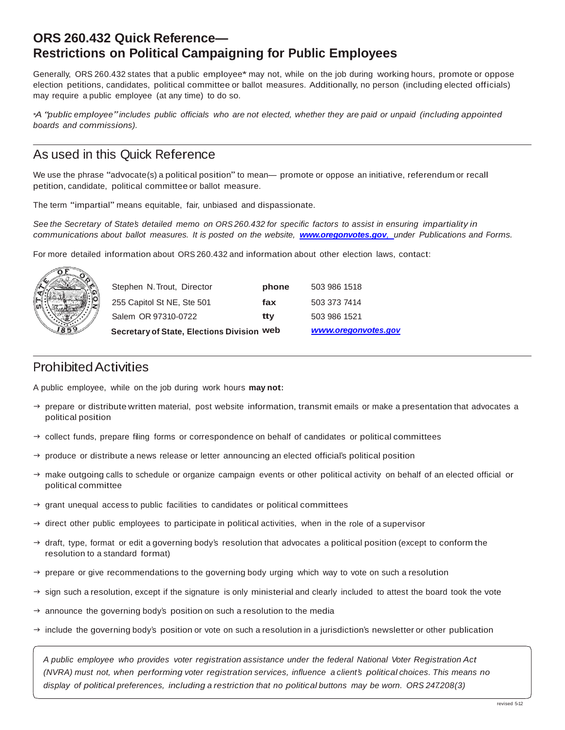# **ORS 260.432 Quick Reference— Restrictions on Political Campaigning for Public Employees**

Generally, ORS 260.432 states that a public employee\* may not, while on the job during working hours, promote or oppose election petitions, candidates, political committee or ballot measures. Additionally, no person (including elected officials) may require a public employee (at any time) to do so.

\**A"public employee"includes public officials who are not elected, whether they are paid or unpaid (including appointed boards and commissions).*

## As used in this Quick Reference

We use the phrase "advocate(s) a political position" to mean— promote or oppose an initiative, referendum or recall petition, candidate, political committee or ballot measure.

The term "impartial" means equitable, fair, unbiased and dispassionate.

See the Secretary of State's detailed memo on ORS260.432 for specific factors to assist in ensuring impartiality in *communications about ballot measures. It is posted on the website, [www.oregonvotes.gov](http://www.oregonvotes.gov,/), under Publications and Forms.*

For more detailed information about ORS 260.432 and information about other election laws, contact:



| Secretary of State, Elections Division web |       | www.oregonvotes.gov |
|--------------------------------------------|-------|---------------------|
| Salem OR 97310-0722                        | ttv   | 503 986 1521        |
| 255 Capitol St NE, Ste 501                 | fax   | 503 373 7414        |
| Stephen N. Trout, Director                 | phone | 503 986 1518        |
|                                            |       |                     |

## ProhibitedActivities

A public employee, while on the job during work hours **may not:**

- $\rightarrow$  prepare or distribute written material, post website information, transmit emails or make a presentation that advocates a political position
- $\rightarrow$  collect funds, prepare filing forms or correspondence on behalf of candidates or political committees
- $\rightarrow$  produce or distribute a news release or letter announcing an elected official's political position
- $\rightarrow$  make outgoing calls to schedule or organize campaign events or other political activity on behalf of an elected official or political committee
- $\rightarrow$  grant unequal access to public facilities to candidates or political committees
- $\rightarrow$  direct other public employees to participate in political activities, when in the role of a supervisor
- $\rightarrow$  draft, type, format or edit a governing body's resolution that advocates a political position (except to conform the resolution to a standard format)
- $\rightarrow$  prepare or give recommendations to the governing body urging which way to vote on such a resolution
- $\rightarrow$  sign such a resolution, except if the signature is only ministerial and clearly included to attest the board took the vote
- $\rightarrow$  announce the governing body's position on such a resolution to the media
- $\rightarrow$  include the governing body's position or vote on such a resolution in a jurisdiction's newsletter or other publication

*A public employee who provides voter registration assistance under the federal National Voter Registration Act* (NVRA) must not, when performing voter registration services, influence a client's political choices. This means no *display of political preferences, including a restriction that no political buttons may be worn. ORS 247.208(3)*